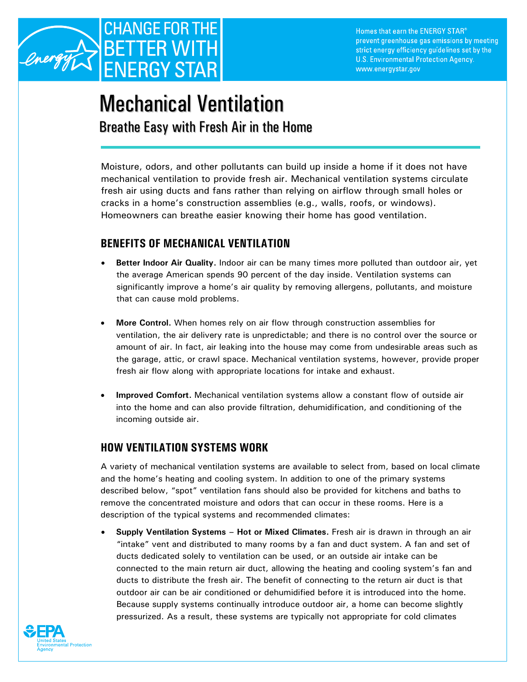

## Mechanical Ventilation Breathe Easy with Fresh Air in the Home

Moisture, odors, and other pollutants can build up inside a home if it does not have mechanical ventilation to provide fresh air. Mechanical ventilation systems circulate fresh air using ducts and fans rather than relying on airflow through small holes or cracks in a home's construction assemblies (e.g., walls, roofs, or windows). Homeowners can breathe easier knowing their home has good ventilation.

## **BENEFITS OF MECHANICAL VENTILATION**

- **Better Indoor Air Quality.** Indoor air can be many times more polluted than outdoor air, yet the average American spends 90 percent of the day inside. Ventilation systems can significantly improve a home's air quality by removing allergens, pollutants, and moisture that can cause mold problems.
- **More Control.** When homes rely on air flow through construction assemblies for ventilation, the air delivery rate is unpredictable; and there is no control over the source or amount of air. In fact, air leaking into the house may come from undesirable areas such as the garage, attic, or crawl space. Mechanical ventilation systems, however, provide proper fresh air flow along with appropriate locations for intake and exhaust.
- **Improved Comfort.** Mechanical ventilation systems allow a constant flow of outside air into the home and can also provide filtration, dehumidification, and conditioning of the incoming outside air.

## **HOW VENTILATION SYSTEMS WORK**

A variety of mechanical ventilation systems are available to select from, based on local climate and the home's heating and cooling system. In addition to one of the primary systems described below, "spot" ventilation fans should also be provided for kitchens and baths to remove the concentrated moisture and odors that can occur in these rooms. Here is a description of the typical systems and recommended climates:

• **Supply Ventilation Systems – Hot or Mixed Climates.** Fresh air is drawn in through an air "intake" vent and distributed to many rooms by a fan and duct system. A fan and set of ducts dedicated solely to ventilation can be used, or an outside air intake can be connected to the main return air duct, allowing the heating and cooling system's fan and ducts to distribute the fresh air. The benefit of connecting to the return air duct is that outdoor air can be air conditioned or dehumidified before it is introduced into the home. Because supply systems continually introduce outdoor air, a home can become slightly pressurized. As a result, these systems are typically not appropriate for cold climates